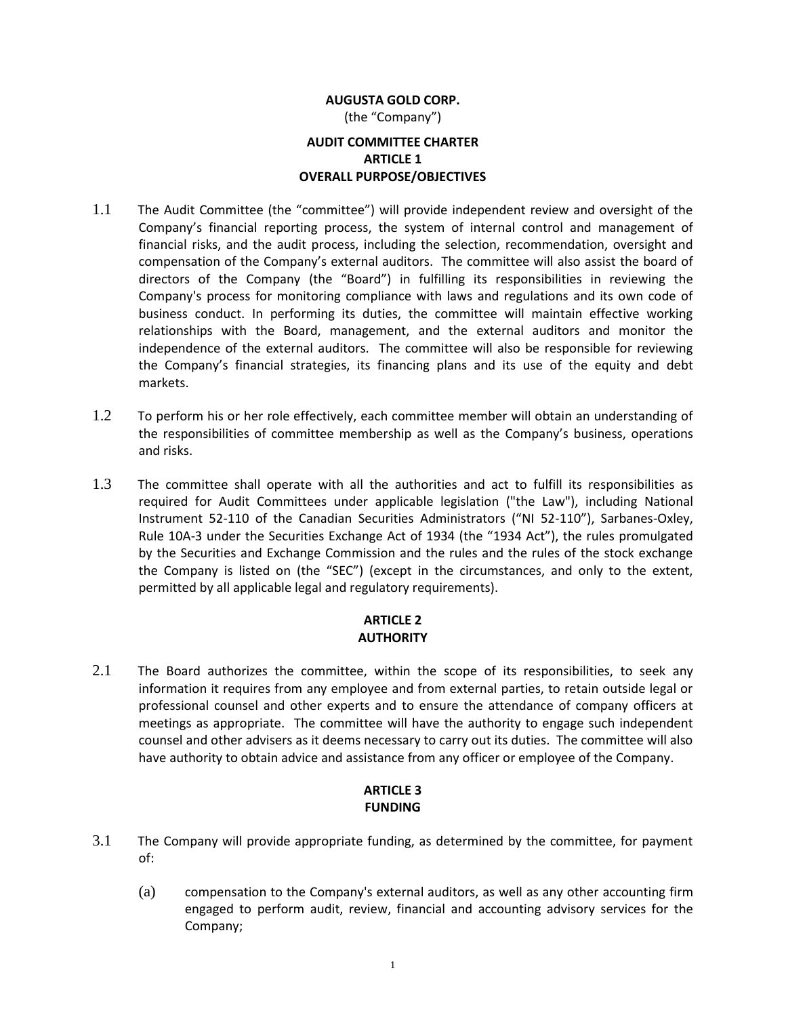# **AUGUSTA GOLD CORP.** (the "Company") **AUDIT COMMITTEE CHARTER ARTICLE 1 OVERALL PURPOSE/OBJECTIVES**

- 1.1 The Audit Committee (the "committee") will provide independent review and oversight of the Company's financial reporting process, the system of internal control and management of financial risks, and the audit process, including the selection, recommendation, oversight and compensation of the Company's external auditors. The committee will also assist the board of directors of the Company (the "Board") in fulfilling its responsibilities in reviewing the Company's process for monitoring compliance with laws and regulations and its own code of business conduct. In performing its duties, the committee will maintain effective working relationships with the Board, management, and the external auditors and monitor the independence of the external auditors. The committee will also be responsible for reviewing the Company's financial strategies, its financing plans and its use of the equity and debt markets.
- 1.2 To perform his or her role effectively, each committee member will obtain an understanding of the responsibilities of committee membership as well as the Company's business, operations and risks.
- 1.3 The committee shall operate with all the authorities and act to fulfill its responsibilities as required for Audit Committees under applicable legislation ("the Law"), including National Instrument 52-110 of the Canadian Securities Administrators ("NI 52-110"), Sarbanes-Oxley, Rule 10A-3 under the Securities Exchange Act of 1934 (the "1934 Act"), the rules promulgated by the Securities and Exchange Commission and the rules and the rules of the stock exchange the Company is listed on (the "SEC") (except in the circumstances, and only to the extent, permitted by all applicable legal and regulatory requirements).

## **ARTICLE 2 AUTHORITY**

2.1 The Board authorizes the committee, within the scope of its responsibilities, to seek any information it requires from any employee and from external parties, to retain outside legal or professional counsel and other experts and to ensure the attendance of company officers at meetings as appropriate. The committee will have the authority to engage such independent counsel and other advisers as it deems necessary to carry out its duties. The committee will also have authority to obtain advice and assistance from any officer or employee of the Company.

## **ARTICLE 3 FUNDING**

- 3.1 The Company will provide appropriate funding, as determined by the committee, for payment of:
	- (a) compensation to the Company's external auditors, as well as any other accounting firm engaged to perform audit, review, financial and accounting advisory services for the Company;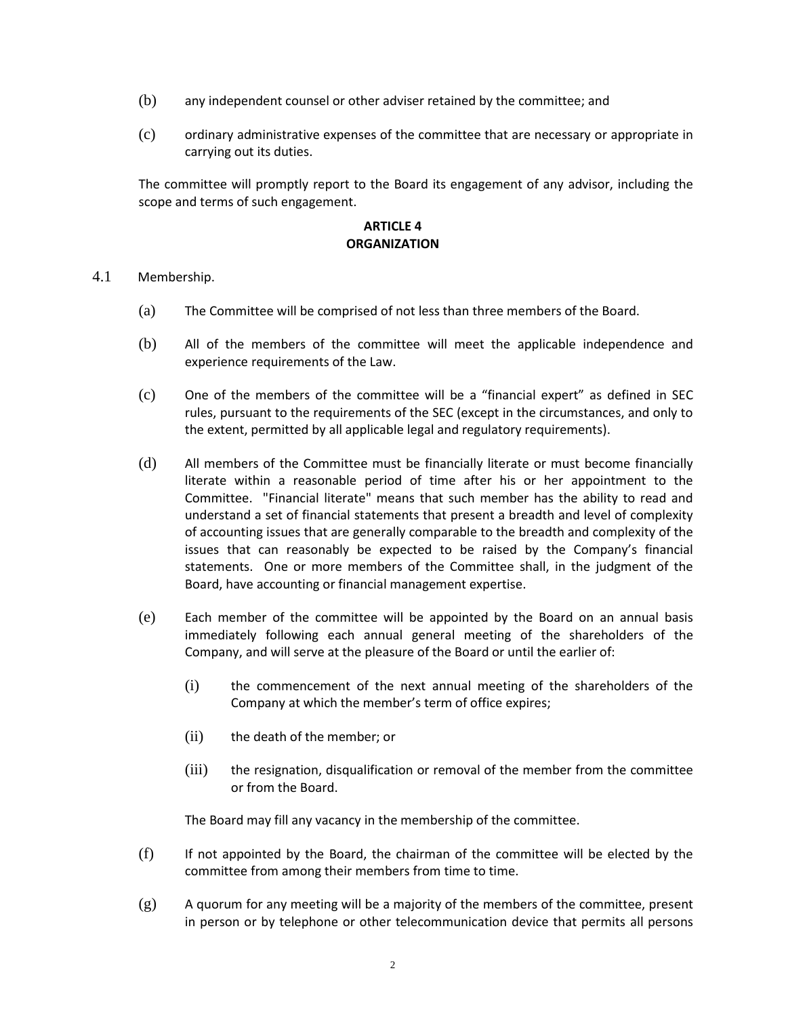- (b) any independent counsel or other adviser retained by the committee; and
- (c) ordinary administrative expenses of the committee that are necessary or appropriate in carrying out its duties.

The committee will promptly report to the Board its engagement of any advisor, including the scope and terms of such engagement.

### **ARTICLE 4 ORGANIZATION**

#### 4.1 Membership.

- (a) The Committee will be comprised of not less than three members of the Board.
- (b) All of the members of the committee will meet the applicable independence and experience requirements of the Law.
- (c) One of the members of the committee will be a "financial expert" as defined in SEC rules, pursuant to the requirements of the SEC (except in the circumstances, and only to the extent, permitted by all applicable legal and regulatory requirements).
- (d) All members of the Committee must be financially literate or must become financially literate within a reasonable period of time after his or her appointment to the Committee. "Financial literate" means that such member has the ability to read and understand a set of financial statements that present a breadth and level of complexity of accounting issues that are generally comparable to the breadth and complexity of the issues that can reasonably be expected to be raised by the Company's financial statements. One or more members of the Committee shall, in the judgment of the Board, have accounting or financial management expertise.
- (e) Each member of the committee will be appointed by the Board on an annual basis immediately following each annual general meeting of the shareholders of the Company, and will serve at the pleasure of the Board or until the earlier of:
	- (i) the commencement of the next annual meeting of the shareholders of the Company at which the member's term of office expires;
	- (ii) the death of the member; or
	- (iii) the resignation, disqualification or removal of the member from the committee or from the Board.

The Board may fill any vacancy in the membership of the committee.

- (f) If not appointed by the Board, the chairman of the committee will be elected by the committee from among their members from time to time.
- $(g)$  A quorum for any meeting will be a majority of the members of the committee, present in person or by telephone or other telecommunication device that permits all persons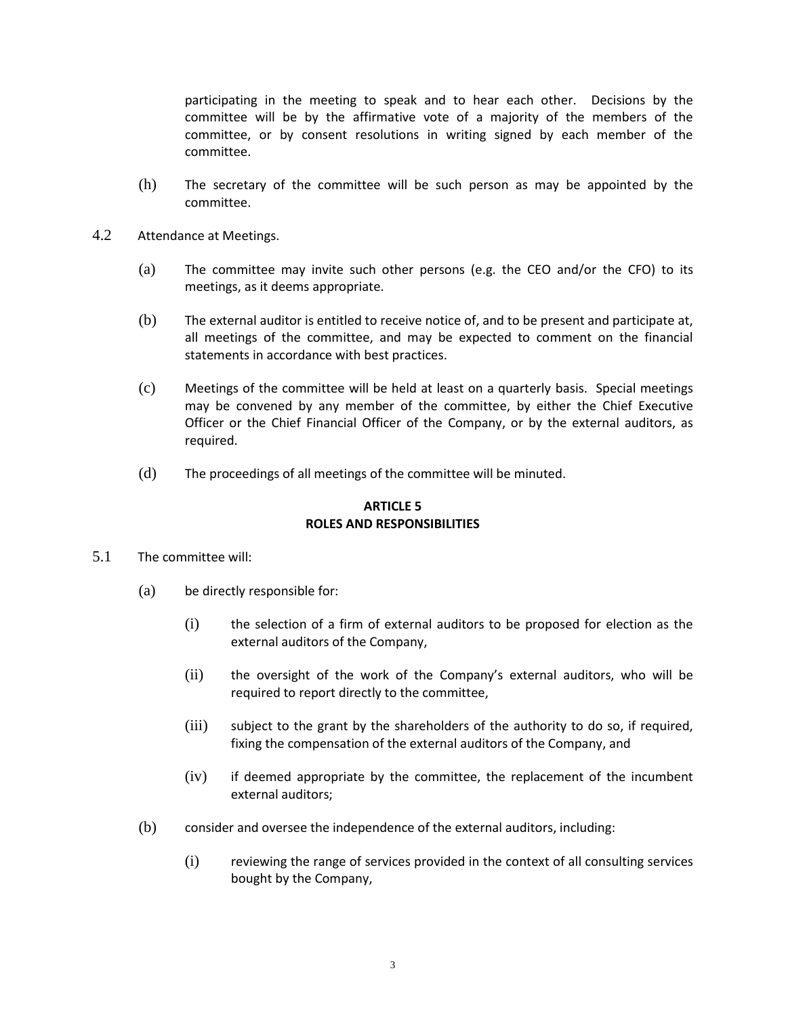participating in the meeting to speak and to hear each other. Decisions by the committee will be by the affirmative vote of a majority of the members of the committee, or by consent resolutions in writing signed by each member of the committee.

- (h) The secretary of the committee will be such person as may be appointed by the committee.
- 4.2 Attendance at Meetings.
	- (a) The committee may invite such other persons (e.g. the CEO and/or the CFO) to its meetings, as it deems appropriate.
	- (b) The external auditor is entitled to receive notice of, and to be present and participate at, all meetings of the committee, and may be expected to comment on the financial statements in accordance with best practices.
	- (c) Meetings of the committee will be held at least on a quarterly basis. Special meetings may be convened by any member of the committee, by either the Chief Executive Officer or the Chief Financial Officer of the Company, or by the external auditors, as required.
	- (d) The proceedings of all meetings of the committee will be minuted.

### **ARTICLE 5 ROLES AND RESPONSIBILITIES**

- 5.1 The committee will:
	- (a) be directly responsible for:
		- (i) the selection of a firm of external auditors to be proposed for election as the external auditors of the Company,
		- (ii) the oversight of the work of the Company's external auditors, who will be required to report directly to the committee,
		- (iii) subject to the grant by the shareholders of the authority to do so, if required, fixing the compensation of the external auditors of the Company, and
		- (iv) if deemed appropriate by the committee, the replacement of the incumbent external auditors;
	- (b) consider and oversee the independence of the external auditors, including:
		- (i) reviewing the range of services provided in the context of all consulting services bought by the Company,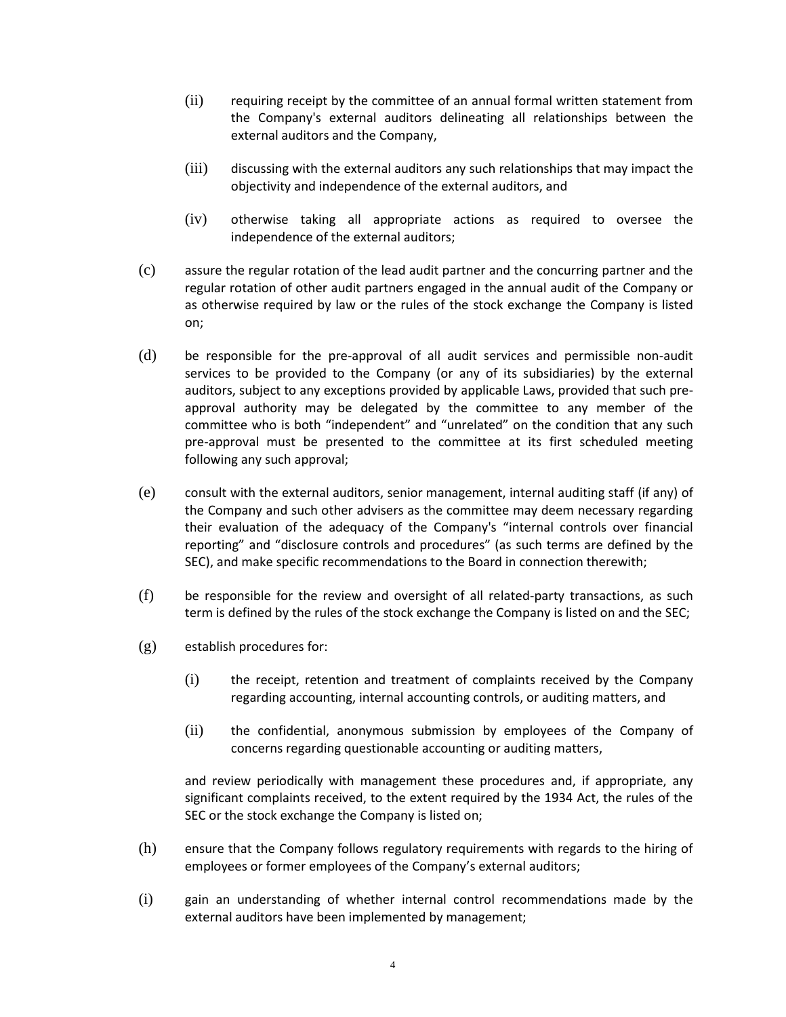- (ii) requiring receipt by the committee of an annual formal written statement from the Company's external auditors delineating all relationships between the external auditors and the Company,
- (iii) discussing with the external auditors any such relationships that may impact the objectivity and independence of the external auditors, and
- (iv) otherwise taking all appropriate actions as required to oversee the independence of the external auditors;
- (c) assure the regular rotation of the lead audit partner and the concurring partner and the regular rotation of other audit partners engaged in the annual audit of the Company or as otherwise required by law or the rules of the stock exchange the Company is listed on;
- (d) be responsible for the pre-approval of all audit services and permissible non-audit services to be provided to the Company (or any of its subsidiaries) by the external auditors, subject to any exceptions provided by applicable Laws, provided that such preapproval authority may be delegated by the committee to any member of the committee who is both "independent" and "unrelated" on the condition that any such pre-approval must be presented to the committee at its first scheduled meeting following any such approval;
- (e) consult with the external auditors, senior management, internal auditing staff (if any) of the Company and such other advisers as the committee may deem necessary regarding their evaluation of the adequacy of the Company's "internal controls over financial reporting" and "disclosure controls and procedures" (as such terms are defined by the SEC), and make specific recommendations to the Board in connection therewith;
- (f) be responsible for the review and oversight of all related-party transactions, as such term is defined by the rules of the stock exchange the Company is listed on and the SEC;
- (g) establish procedures for:
	- (i) the receipt, retention and treatment of complaints received by the Company regarding accounting, internal accounting controls, or auditing matters, and
	- (ii) the confidential, anonymous submission by employees of the Company of concerns regarding questionable accounting or auditing matters,

and review periodically with management these procedures and, if appropriate, any significant complaints received, to the extent required by the 1934 Act, the rules of the SEC or the stock exchange the Company is listed on;

- (h) ensure that the Company follows regulatory requirements with regards to the hiring of employees or former employees of the Company's external auditors;
- (i) gain an understanding of whether internal control recommendations made by the external auditors have been implemented by management;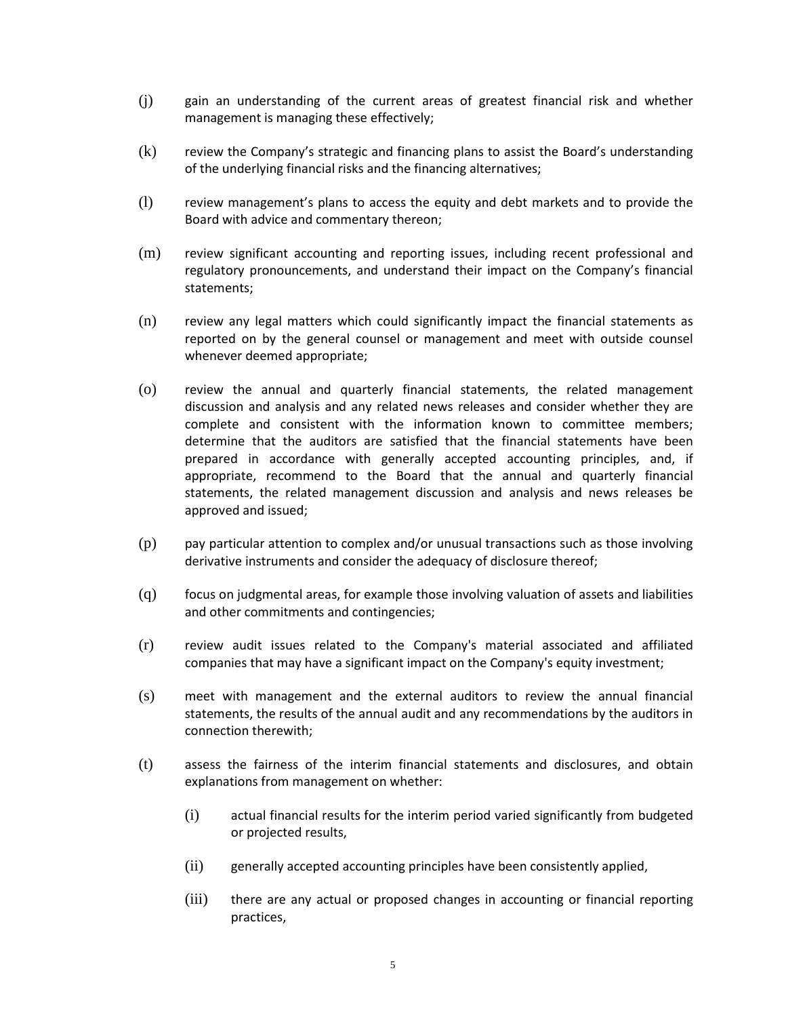- (j) gain an understanding of the current areas of greatest financial risk and whether management is managing these effectively;
- (k) review the Company's strategic and financing plans to assist the Board's understanding of the underlying financial risks and the financing alternatives;
- (l) review management's plans to access the equity and debt markets and to provide the Board with advice and commentary thereon;
- (m) review significant accounting and reporting issues, including recent professional and regulatory pronouncements, and understand their impact on the Company's financial statements;
- (n) review any legal matters which could significantly impact the financial statements as reported on by the general counsel or management and meet with outside counsel whenever deemed appropriate;
- (o) review the annual and quarterly financial statements, the related management discussion and analysis and any related news releases and consider whether they are complete and consistent with the information known to committee members; determine that the auditors are satisfied that the financial statements have been prepared in accordance with generally accepted accounting principles, and, if appropriate, recommend to the Board that the annual and quarterly financial statements, the related management discussion and analysis and news releases be approved and issued;
- (p) pay particular attention to complex and/or unusual transactions such as those involving derivative instruments and consider the adequacy of disclosure thereof;
- (q) focus on judgmental areas, for example those involving valuation of assets and liabilities and other commitments and contingencies;
- (r) review audit issues related to the Company's material associated and affiliated companies that may have a significant impact on the Company's equity investment;
- (s) meet with management and the external auditors to review the annual financial statements, the results of the annual audit and any recommendations by the auditors in connection therewith;
- (t) assess the fairness of the interim financial statements and disclosures, and obtain explanations from management on whether:
	- (i) actual financial results for the interim period varied significantly from budgeted or projected results,
	- (ii) generally accepted accounting principles have been consistently applied,
	- (iii) there are any actual or proposed changes in accounting or financial reporting practices,